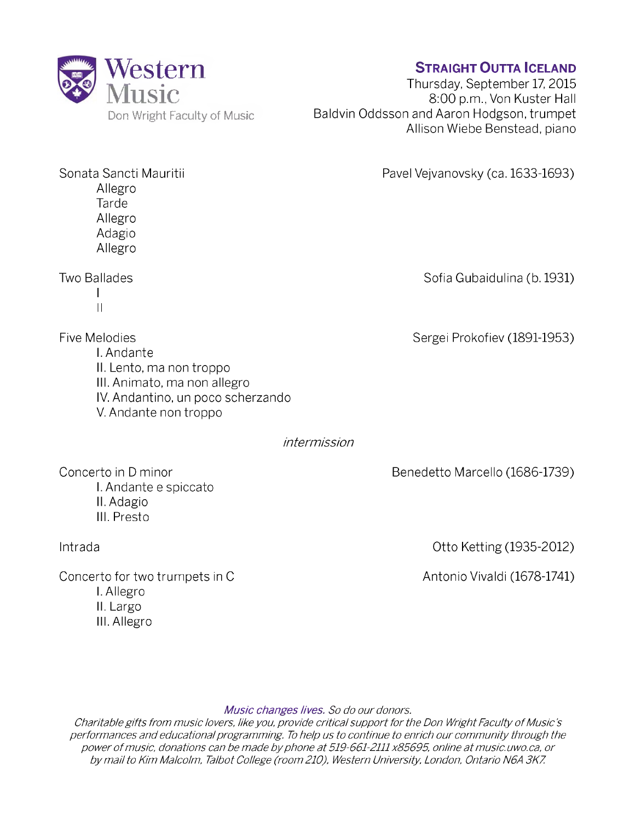

Allegro Tarde Allegro Adagio Allegro

I II

## **Straight Outta Iceland**

Thursday, September 17, 2015 8:00 p.m., Von Kuster Hall Baldvin Oddsson and Aaron Hodgson, trumpet Allison Wiebe Benstead, piano

Sonata Sancti Mauritii Pavel Vejvanovsky (ca. 1633-1693)

Two Ballades **Sofia Gubaidulina (b. 1931**)

Five Melodies **Sergei Prokofiev (1891-1953)** I. Andante II. Lento, ma non troppo III. Animato, ma non allegro IV. Andantino, un poco scherzando V. Andante non troppo

## *intermission*

Benedetto Marcello (1686-1739)

Concerto in D minor I. Andante e spiccato II. Adagio III. Presto

Intrada

Concerto for two trumpets in C I. Allegro II. Largo

III. Allegro

Otto Ketting (1935-2012)

Antonio Vivaldi (1678-1741)

## *Music changes lives. So do our donors.*

*Charitable gifts from music lovers, like you, provide critical support for the Don Wright Faculty of Music's performances and educational programming. To help us to continue to enrich our community through the* power of music, donations can be made by phone at 519-661-2111 x85695, online at music.uwo.ca, or *by mail to Kim Malcolm, Talbot College (room 210), Western University, London, Ontario N6A 3K7.*